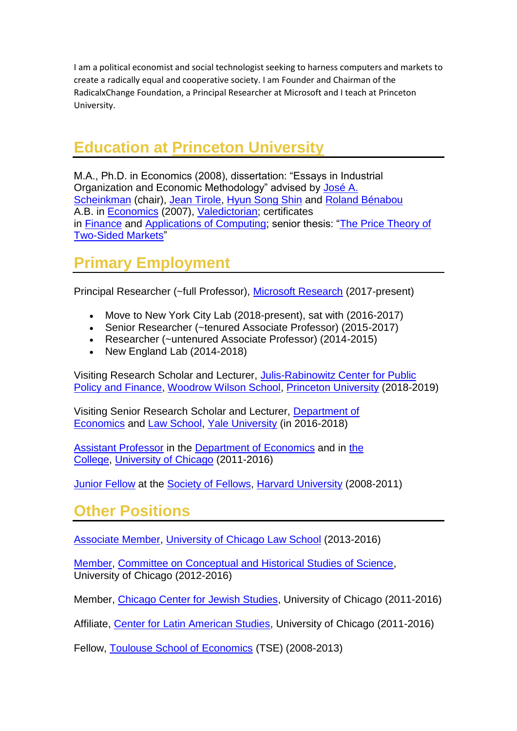I am a political economist and social technologist seeking to harness computers and markets to create a radically equal and cooperative society. I am Founder and Chairman of the RadicalxChange Foundation, a Principal Researcher at Microsoft and I teach at Princeton University.

## **Education at [Princeton University](http://www.princeton.edu/)**

M.A., Ph.D. in Economics (2008), dissertation: "Essays in Industrial Organization and Economic Methodology" advised by [José A.](http://www.princeton.edu/~joses/)  [Scheinkman](http://www.princeton.edu/~joses/) (chair), [Jean Tirole,](http://idei.fr/vitae.php?i=3) [Hyun Song Shin](http://www.princeton.edu/~hsshin/) and [Roland Bénabou](http://www.princeton.edu/~rbenabou/) A.B. in [Economics](http://www.econ.princeton.edu/) (2007), [Valedictorian;](http://www.princeton.edu/main/news/archive/S18/10/62E57/index.xml?section=announcements) certificates in [Finance](http://www.princeton.edu/~bcf) and [Applications of Computing;](http://www.cs.princeton.edu/academics/ugradpgm/pac.php) senior thesis: ["The Price Theory of](https://www.dropbox.com/s/e3jtqa38qfp5jw6/pt2sms_7_08.pdf?dl=0)  [Two-Sided Markets"](https://www.dropbox.com/s/e3jtqa38qfp5jw6/pt2sms_7_08.pdf?dl=0)

## **Primary Employment**

Principal Researcher (~full Professor), [Microsoft Research](http://research.microsoft.com/en-us/) (2017-present)

- Move to New York City Lab (2018-present), sat with (2016-2017)
- Senior Researcher (~tenured Associate Professor) (2015-2017)
- Researcher (~untenured Associate Professor) (2014-2015)
- New England Lab  $(2014-2018)$

Visiting Research Scholar and Lecturer, [Julis-Rabinowitz Center for Public](https://jrc.princeton.edu/)  [Policy and Finance,](https://jrc.princeton.edu/) [Woodrow Wilson School,](http://wws.princeton.edu/) [Princeton University](https://www.princeton.edu/) (2018-2019)

Visiting Senior Research Scholar and Lecturer, [Department of](http://economics.yale.edu/)  [Economics](http://economics.yale.edu/) and [Law School,](http://www.law.yale.edu/) [Yale University](http://www.yale.edu/) (in 2016-2018)

[Assistant Professor](http://economics.uchicago.edu/facstaff/weyl.shtml) in the [Department of Economics](http://economics.uchicago.edu/) and in [the](http://college.uchicago.edu/)  [College,](http://college.uchicago.edu/) [University of Chicago](http://www.uchicago.edu/index.shtml) (2011-2016)

[Junior Fellow](http://www.socfell.fas.harvard.edu/current%20and%20former%20jf%20term.html) at the [Society of Fellows,](http://www.socfell.fas.harvard.edu/) [Harvard University](http://www.harvard.edu/) (2008-2011)

## **Other Positions**

[Associate Member,](http://www.law.uchicago.edu/faculty/weyl) [University of Chicago Law School](http://www.law.uchicago.edu/) (2013-2016)

[Member,](http://chss.uchicago.edu/people/faculty/) [Committee on Conceptual and Historical Studies of Science,](http://chss.uchicago.edu/) University of Chicago (2012-2016)

Member, [Chicago Center for Jewish Studies,](http://lucian.uchicago.edu/blogs/ccjs/) University of Chicago (2011-2016)

Affiliate, [Center for Latin American Studies,](http://clas.uchicago.edu/) University of Chicago (2011-2016)

Fellow, [Toulouse School of Economics](http://tse-fr.eu/) (TSE) (2008-2013)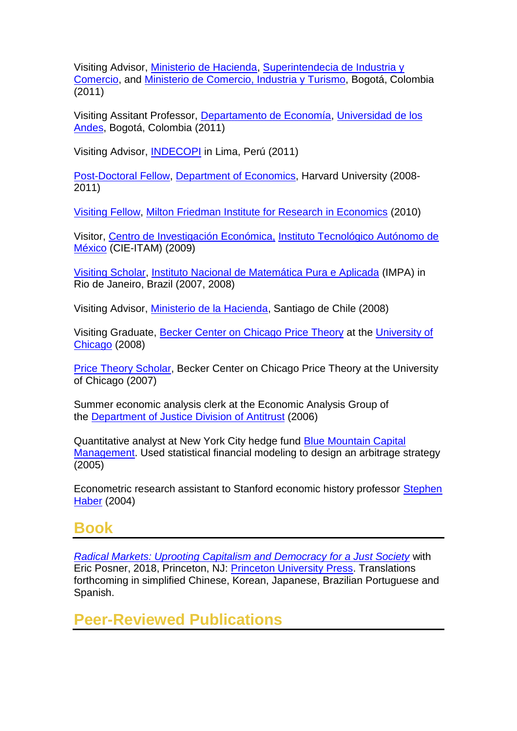Visiting Advisor, [Ministerio de Hacienda,](http://www.minhacienda.gov.co/MinHacienda) [Superintendecia de Industria y](http://www.sic.gov.co/)  [Comercio,](http://www.sic.gov.co/) and [Ministerio de Comercio, Industria y Turismo,](http://www.mincomercio.gov.co/eContent/home.asp) Bogotá, Colombia (2011)

Visiting Assitant Professor, [Departamento de Economía,](http://economia.uniandes.edu.co/) [Universidad de los](http://www.uniandes.edu.co/)  [Andes,](http://www.uniandes.edu.co/) Bogotá, Colombia (2011)

Visiting Advisor, [INDECOPI](http://www.indecopi.gob.pe/0/home.aspx?PFL=0&ARE=0) in Lima, Perú (2011)

[Post-Doctoral Fellow,](http://www.harvard.edu/) [Department of Economics,](http://www.economics.harvard.edu/) Harvard University (2008- 2011)

[Visiting Fellow,](http://mfi.uchicago.edu/people/index.shtml) [Milton Friedman Institute for Research in Economics](http://mfi.uchicago.edu/) (2010)

Visitor, [Centro de Investigación Económica,](http://cie.itam.mx/) [Instituto Tecnológico Autónomo de](http://www.itam.mx/es/index.php)  [México](http://www.itam.mx/es/index.php) (CIE-ITAM) (2009)

[Visiting Scholar,](http://beta.impa.br/Eventos/visitantes_ordem_mes.asp?mes=11&ano=2008) [Instituto Nacional de Matemática Pura e Aplicada](http://www.impa.br/opencms/pt/) (IMPA) in Rio de Janeiro, Brazil (2007, 2008)

Visiting Advisor, [Ministerio de la Hacienda,](http://www.minhda.cl/) Santiago de Chile (2008)

Visiting Graduate, [Becker Center on Chicago Price Theory](http://research.chicagogsb.edu/pricetheory/index.aspx) at the [University of](http://www.uchicago.edu/)  [Chicago](http://www.uchicago.edu/) (2008)

[Price Theory Scholar,](http://research.chicagogsb.edu/pricetheory/programs/ptscholars/index.aspx) Becker Center on Chicago Price Theory at the University of Chicago (2007)

Summer economic analysis clerk at the Economic Analysis Group of the [Department of Justice Division of Antitrust](http://www.usdoj.gov/atr/) (2006)

Quantitative analyst at New York City hedge fund [Blue Mountain Capital](https://www.bluemountaincapital.com/default.aspx)  [Management.](https://www.bluemountaincapital.com/default.aspx) Used statistical financial modeling to design an arbitrage strategy (2005)

Econometric research assistant to Stanford economic history professor [Stephen](http://www.stanford.edu/~haber/)  [Haber](http://www.stanford.edu/~haber/) (2004)

### **Book**

*Radical Markets: Uprooting [Capitalism and Democracy for a Just Society](https://www.amazon.com/Radical-Markets-Uprooting-Capitalism-Democracy/dp/0691177503)* with Eric Posner, 2018, Princeton, NJ: [Princeton University Press.](http://press.princeton.edu/) Translations forthcoming in simplified Chinese, Korean, Japanese, Brazilian Portuguese and Spanish.

**Peer-Reviewed Publications**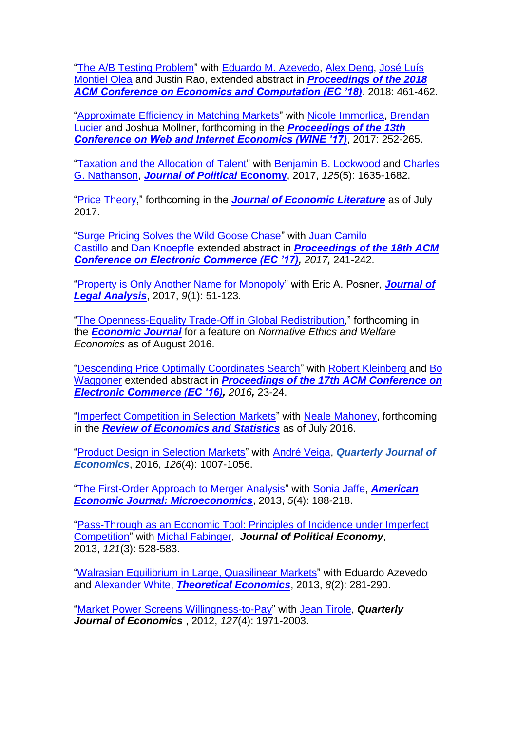["The A/B Testing Problem"](https://dl.acm.org/citation.cfm?id=3219204) with [Eduardo M. Azevedo,](https://eduardomazevedo.github.io/) [Alex Deng,](http://alexdeng.github.io/) [José Luís](http://www.joseluismontielolea.com/)  [Montiel Olea](http://www.joseluismontielolea.com/) and Justin Rao, extended abstract in *[Proceedings of the 2018](https://dl.acm.org/citation.cfm?id=3219166)  [ACM Conference on Economics and Computation \(EC '18\)](https://dl.acm.org/citation.cfm?id=3219166)*, 2018: 461-462.

["Approximate Efficiency in Matching Markets"](https://papers.ssrn.com/sol3/papers.cfm?abstract_id=2916337) with [Nicole Immorlica,](http://www.immorlica.com/) [Brendan](https://www.microsoft.com/en-us/research/people/brlucier/)  [Lucier](https://www.microsoft.com/en-us/research/people/brlucier/) and Joshua Mollner, forthcoming in the *[Proceedings of the 13th](https://link.springer.com/book/10.1007/978-3-319-71924-5)  [Conference on Web and Internet Economics \(WINE '17\)](https://link.springer.com/book/10.1007/978-3-319-71924-5)*, 2017: 252-265.

["Taxation and the Allocation of Talent"](http://www.journals.uchicago.edu/doi/abs/10.1086/693393) with **[Benjamin B. Lockwood](http://benlockwood.com/) and Charles** [G. Nathanson,](http://scholar.harvard.edu/nathanson) *[Journal of Political](http://www.journals.uchicago.edu/toc/jpe/current)* **Economy**, 2017, *125*(5): 1635-1682.

["Price Theory,](http://papers.ssrn.com/sol3/papers.cfm?abstract_id=2444233)" forthcoming in the *[Journal of Economic Literature](https://www.aeaweb.org/jel/)* as of July 2017.

["Surge Pricing Solves the Wild Goose Chase"](http://dl.acm.org/citation.cfm?id=3085098) with [Juan Camilo](https://sites.google.com/site/juancamcastillo/)  [Castillo](https://sites.google.com/site/juancamcastillo/) and [Dan Knoepfle](http://www.nber.org/people/dan_knoepfle) extended abstract in *Proceedings [of the 18th ACM](http://www.sigecom.org/ec17/schedule_conference.html)  [Conference on Electronic Commerce \(EC '17\),](http://www.sigecom.org/ec17/schedule_conference.html) 2017,* 241-242.

"Property is [Only Another Name for Monopoly"](https://academic.oup.com/jla/article/9/1/51/3572441/Property-Is-Only-Another-Name-for-Monopoly) with Eric A. Posner, *[Journal of](http://jla.oxfordjournals.org/)  [Legal Analysis](http://jla.oxfordjournals.org/)*, 2017, *9*(1): 51-123.

["The Openness-Equality Trade-Off in Global Redistribution,](http://papers.ssrn.com/sol3/papers.cfm?abstract_id=2509305)" forthcoming in the *[Economic Journal](http://onlinelibrary.wiley.com/journal/10.1111/(ISSN)1468-0297)* for a feature on *Normative Ethics and Welfare Economics* as of August 2016.

["Descending Price Optimally Coordinates Search"](http://dl.acm.org/citation.cfm?id=2940760&CFID=822449821&CFTOKEN=78730839) with [Robert Kleinberg](http://www.cs.cornell.edu/~rdk/) and [Bo](http://www.bowaggoner.com/)  [Waggoner](http://www.bowaggoner.com/) extended abstract in *[Proceedings of the 17th ACM Conference on](http://www.sigecom.org/ec16/schedule_conference.html)  [Electronic Commerce \(EC '16\),](http://www.sigecom.org/ec16/schedule_conference.html) 2016,* 23-24.

["Imperfect Competition in Selection Markets"](http://www.mitpressjournals.org/doi/abs/10.1162/REST_a_00661) with [Neale Mahoney,](http://faculty.chicagobooth.edu/neale.mahoney/index.html) forthcoming in the *[Review of Economics and Statistics](http://www.mitpressjournals.org/loi/rest)* as of July 2016.

["Product Design in Selection Markets"](http://qje.oxfordjournals.org/content/131/2/1007) with [André Veiga,](https://sites.google.com/site/andreveiga/) *Quarterly Journal of Economics*, 2016, *126*(4): 1007-1056.

["The First-Order Approach to Merger Analysis"](https://www.aeaweb.org/articles.php?doi=10.1257/mic.5.4.188) with [Sonia Jaffe,](http://www.soniajaffe.com/) *[American](http://www.aeaweb.org/aej-micro/)  [Economic Journal: Microeconomics](http://www.aeaweb.org/aej-micro/)*, 2013, *5*(4): 188-218.

["Pass-Through as an Economic Tool: Principles of Incidence under Imperfect](http://www.jstor.org/discover/10.1086/670401?uid=3739576&uid=2134&uid=2&uid=70&uid=4&uid=3739256&sid=21103273850123)  [Competition"](http://www.jstor.org/discover/10.1086/670401?uid=3739576&uid=2134&uid=2&uid=70&uid=4&uid=3739256&sid=21103273850123) with [Michal Fabinger,](http://www.people.fas.harvard.edu/~fabinger/) *Journal of Political Economy*, 2013, *121*(3): 528-583.

"Walrasian Equilibrium [in Large, Quasilinear Markets"](http://econtheory.org/ojs/index.php/te/article/viewArticle/20130281) with Eduardo Azevedo and [Alexander White,](http://alex-white.net/) *[Theoretical Economics](http://econtheory.org/)*, 2013, *8*(2): 281-290.

["Market Power Screens Willingness-to-Pay"](http://qje.oxfordjournals.org/content/127/4/1971.full) with [Jean Tirole,](http://idei.fr/member.php?i=3) *Quarterly Journal of Economics* , 2012, *127*(4): 1971-2003.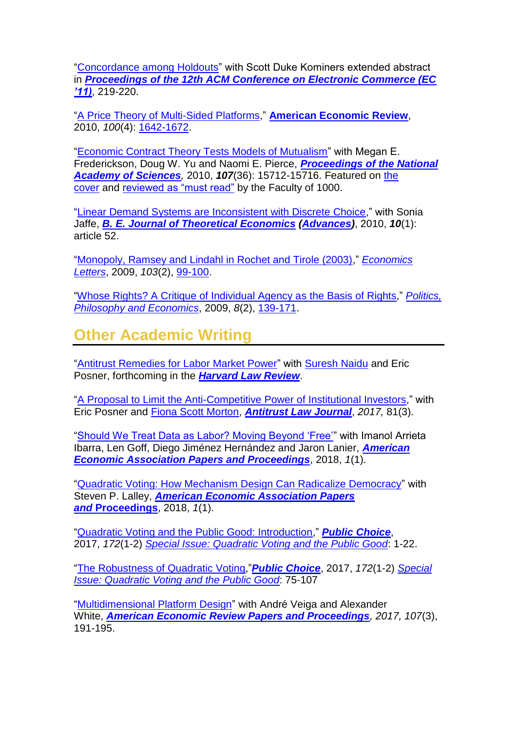["Concordance among Holdouts"](http://dl.acm.org/citation.cfm?doid=1993574.1993607) with Scott Duke Kominers extended abstract in *[Proceedings of the 12th ACM Conference on Electronic Commerce \(EC](http://www.sigecom.org/ec11/)  ['11\)](http://www.sigecom.org/ec11/)*, 219-220.

["A Price Theory of Multi-Sided Platforms,](http://home.uchicago.edu/weyl/ptNsms_FINAL.pdf)" **[American Economic Review](http://www.aeaweb.org/aer/index.php)**, 2010, *100*(4): [1642-1672.](http://www.aeaweb.org/articles.php?doi=10.1257/aer.100.4.1642)

["Economic Contract Theory Tests Models of Mutualism"](http://www.pnas.org/content/107/36/15712.full) with Megan E. Frederickson, Doug W. Yu and Naomi E. Pierce, *[Proceedings of the National](http://www.pnas.org/)  [Academy of Sciences](http://www.pnas.org/),* 2010, *107*(36): 15712-15716. Featured on [the](http://www.pnas.org/content/107/36.cover-expansion)  [cover](http://www.pnas.org/content/107/36.cover-expansion) and [reviewed as "must read"](http://f1000.com/5674972) by the Faculty of 1000.

["Linear Demand Systems are Inconsistent with Discrete Choice,](https://www.degruyter.com/view/j/bejte.2010.10.1/bejte.2010.10.1.1729/bejte.2010.10.1.1729.xml)" with Sonia Jaffe, *[B. E. Journal of Theoretical Economics](http://www.bepress.com/bejte/) [\(Advances\)](http://www.bepress.com/bejte/ratingsystem.html)*, 2010, *10*(1): article 52.

["Monopoly, Ramsey and Lindahl in Rochet and Tirole \(2003\),](http://home.uchicago.edu/weyl/rt2003note_FINAL.pdf)" *[Economics](http://www.elsevier.com/wps/find/journaldescription.cws_home/505574/description#description)  [Letters](http://www.elsevier.com/wps/find/journaldescription.cws_home/505574/description#description)*, 2009, *103*(2), [99-100.](http://www.sciencedirect.com/science?_ob=MImg&_imagekey=B6V84-4VRP217-1-1&_cdi=5860&_user=10&_orig=browse&_coverDate=05%2F31%2F2009&_sk=998969997&view=c&wchp=dGLzVtz-zSkzS&md5=57de3ae7692c3dc3f5c0e5c248be9c0e&ie=/sdarticle.pdf)

["Whose Rights? A Critique of Individual Agency as the Basis of Rights,](http://home.uchicago.edu/weyl/Whose_Rights_Final.pdf)" *[Politics,](http://ppe.sagepub.com/)  [Philosophy and Economics](http://ppe.sagepub.com/)*, 2009, *8*(2), [139-171.](http://ppe.sagepub.com/cgi/reprint/8/2/139)

# **Other Academic Writing**

["Antitrust Remedies for Labor Market Power"](https://papers.ssrn.com/sol3/papers.cfm?abstract_id=3129221) with [Suresh Naidu](https://sipa.columbia.edu/faculty-research/faculty-directory/suresh-naidu) and Eric Posner, forthcoming in the *[Harvard Law Review](https://harvardlawreview.org/)*.

["A Proposal to Limit the Anti-Competitive Power of Institutional Investors,](https://papers.ssrn.com/sol3/papers.cfm?abstract_id=2872754)" with Eric Posner and [Fiona Scott Morton,](http://som.yale.edu/fiona-m-scott-morton) *[Antitrust Law Journal](http://www.americanbar.org/groups/antitrust_law/publications/antitrust_law_journal.html)*, *2017,* 81(3).

["Should We Treat Data as Labor? Moving Beyond 'Free'"](https://papers.ssrn.com/sol3/papers.cfm?abstract_id=3093683) with Imanol Arrieta Ibarra, Len Goff, Diego Jiménez Hernández and Jaron Lanier, *[American](https://www.aeaweb.org/journals/pandp)  [Economic Association Papers and Proceedings](https://www.aeaweb.org/journals/pandp)*, 2018, *1*(1).

["Quadratic Voting: How Mechanism Design Can Radicalize Democracy"](https://papers.ssrn.com/sol3/papers.cfm?abstract_id=2003531) with Steven P. Lalley, *[American Economic Association Papers](https://www.aeaweb.org/journals/pandp)  and* **[Proceedings](https://www.aeaweb.org/journals/pandp)**, 2018, *1*(1).

["Quadratic Voting and the Public Good: Introduction,](https://link.springer.com/article/10.1007/s11127-017-0404-5)" *[Public Choice](http://rd.springer.com/journal/11127)*, 2017, *172*(1-2) *[Special Issue: Quadratic Voting and the Public Good](https://link.springer.com/journal/11127/172/1/page/1)*: 1-22.

["The Robustness of Quadratic Voting,](http://papers.ssrn.com/sol3/papers.cfm?abstract_id=2571012)"*[Public Choice](http://rd.springer.com/journal/11127)*, 2017, *172*(1-2) *[Special](https://link.springer.com/journal/11127/172/1/page/1)  [Issue: Quadratic Voting and the Public Good](https://link.springer.com/journal/11127/172/1/page/1)*: 75-107

["Multidimensional Platform Design"](https://www.aeaweb.org/articles?id=10.1257/aer.p20171044) with André Veiga and Alexander White, *[American Economic Review Papers and Proceedings](http://www.aeaweb.org/aer/papers.php), 2017, 107*(3),  $191 - 195.$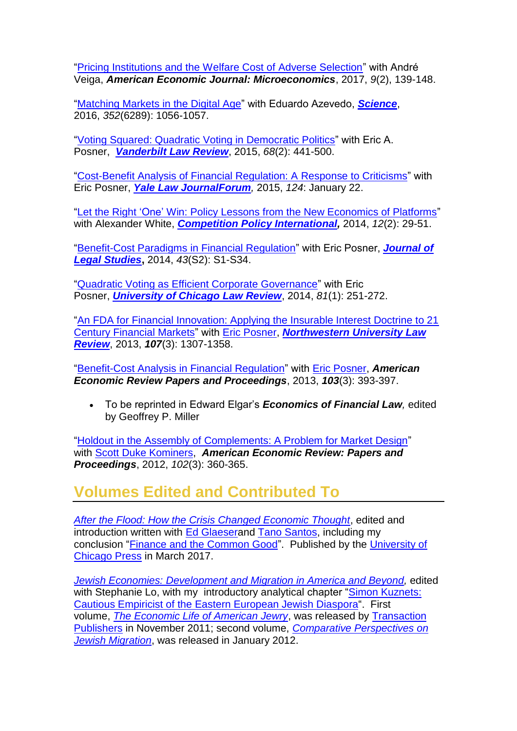["Pricing Institutions and the Welfare Cost of Adverse Selection"](https://www.aeaweb.org/articles?id=10.1257/mic.20150295) with André Veiga, *American Economic Journal: Microeconomics*, 2017, *9*(2), 139-148.

["Matching Markets in the Digital Age"](http://science.sciencemag.org/cgi/content/full/352/6289/1056?ijkey=IxfGJ5vatg3Cs&keytype=ref&siteid=sci) with Eduardo Azevedo, *[Science](http://www.sciencemag.org/)*, 2016, *352*(6289): 1056-1057.

["Voting Squared: Quadratic Voting in Democratic Politics"](https://www.vanderbiltlawreview.org/2015/03/voting-squared-quadratic-voting-in-democratic-politics/) with Eric A. Posner, *[Vanderbilt Law](http://www.vanderbiltlawreview.org/) Review*, 2015, *68*(2): 441-500.

["Cost-Benefit Analysis of Financial Regulation: A](http://www.yalelawjournal.org/forum/cost-benefit-analysis-of-financial-regulations) Response to Criticisms" with Eric Posner, *[Yale Law JournalForum](http://www.yalelawjournal.org/forum),* 2015, *124*: January 22.

"Let the Right ['One' Win: Policy Lessons from the New Economics of Platforms"](https://www.competitionpolicyinternational.com/let-the-right-one-win-policy-lessons-from-the-new-economics-of-platforms/) with Alexander White, *[Competition Policy International,](https://www.competitionpolicyinternational.com/journal/)* 2014, *12*(2): 29-51.

["Benefit-Cost Paradigms in Financial Regulation"](http://papers.ssrn.com/sol3/papers.cfm?abstract_id=2346466) with Eric Posner, *[Journal of](http://www.press.uchicago.edu/ucp/journals/journal/jls.html)  [Legal Studies](http://www.press.uchicago.edu/ucp/journals/journal/jls.html)***,** 2014, *43*(S2): S1-S34.

["Quadratic Voting as Efficient Corporate Governance"](http://papers.ssrn.com/sol3/papers.cfm?abstract_id=2264245) with Eric Posner, *[University of Chicago Law Review](http://lawreview.uchicago.edu/)*, 2014, *81*(1): 251-272.

["An FDA for Financial Innovation: Applying the Insurable Interest Doctrine to 21](http://papers.ssrn.com/sol3/papers.cfm?abstract_id=2010606)  [Century Financial Markets"](http://papers.ssrn.com/sol3/papers.cfm?abstract_id=2010606) with [Eric Posner,](http://www.ericposner.com/) *[Northwestern University Law](http://www.law.northwestern.edu/lawreview/)  [Review](http://www.law.northwestern.edu/lawreview/)*, 2013, *107*(3): 1307-1358.

["Benefit-Cost Analysis in Financial Regulation"](http://www.aeaweb.org/articles.php?doi=10.1257/aer.103.3.393) with [Eric Posner,](http://www.ericposner.com/) *American Economic Review Papers and Proceedings*, 2013, *103*(3): 393-397.

 To be reprinted in Edward Elgar's *Economics of Financial Law,* edited by Geoffrey P. Miller

["Holdout in the Assembly of Complements: A Problem for Market Design"](http://www.aeaweb.org/articles.php?doi=10.1257/aer.102.3.360) with [Scott Duke Kominers,](http://scottkom.com/) *American Economic Review: Papers and Proceedings*, 2012, *102*(3): 360-365.

### **Volumes Edited and Contributed To**

*[After the Flood: How the Crisis Changed Economic Thought](http://www.press.uchicago.edu/ucp/books/book/chicago/A/bo25581539.html)*, edited and introduction written with [Ed Glaesera](http://scholar.harvard.edu/glaeser/home)nd [Tano Santos,](http://www8.gsb.columbia.edu/cbs-directory/detail/js1786) including my conclusion ["Finance and the Common Good"](http://papers.ssrn.com/sol3/papers.cfm?abstract_id=2271832). Published by the [University of](http://www.press.uchicago.edu/index.html)  [Chicago Press](http://www.press.uchicago.edu/index.html) in March 2017.

*[Jewish Economies: Development and Migration in America and Beyond,](http://www.transactionpub.com/title/Jewish-Economies-978-1-4128-4211-2.html)* edited with Stephanie Lo, with my introductory analytical chapter "Simon Kuznets: [Cautious Empiricist of the Eastern European Jewish Diaspora"](http://home.uchicago.edu/weyl/Kuznets_Final_11_10.doc). First volume, *[The Economic Life of American Jewry](http://www.amazon.com/Jewish-Economies-Development-Migration-Euro-American/dp/1412842115/ref=sr_1_1?ie=UTF8&qid=1330197548&sr=8-1)*, was released by [Transaction](http://www.transactionpub.com/merchant2/)  [Publishers](http://www.transactionpub.com/merchant2/) in November 2011; second volume, *[Comparative Perspectives on](http://www.amazon.com/Jewish-Economies-Development-Comparative-Perspectives/dp/1412842700/ref=pd_bxgy_b_img_b)  [Jewish Migration](http://www.amazon.com/Jewish-Economies-Development-Comparative-Perspectives/dp/1412842700/ref=pd_bxgy_b_img_b)*, was released in January 2012.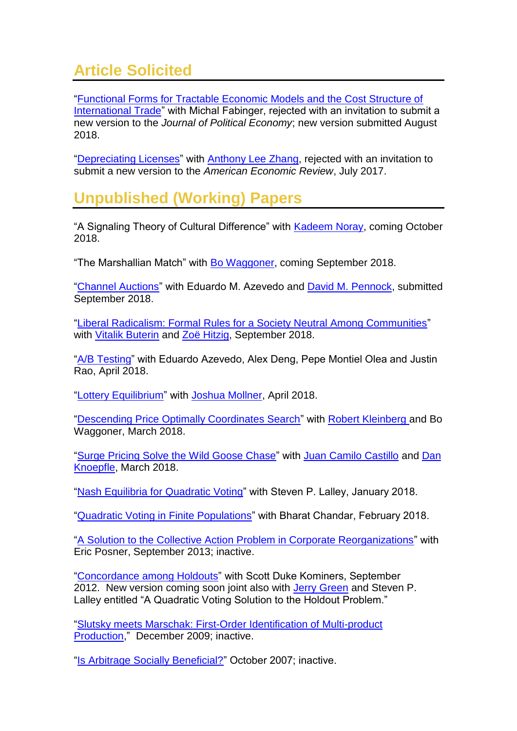# **Article Solicited**

["Functional Forms for Tractable Economic Models and the Cost Structure of](https://papers.ssrn.com/abstract=2194855)  [International Trade"](https://papers.ssrn.com/abstract=2194855) with Michal Fabinger, rejected with an invitation to submit a new version to the *Journal of Political Economy*; new version submitted August 2018.

["Depreciating Licenses"](https://papers.ssrn.com/sol3/papers.cfm?abstract_id=2744810) with [Anthony Lee Zhang,](https://anthonyleezhang.github.io/) rejected with an invitation to submit a new version to the *American Economic Review*, July 2017.

# **Unpublished (Working) Papers**

"A Signaling Theory of Cultural Difference" with [Kadeem Noray,](https://scholar.harvard.edu/kadeem/home) coming October 2018.

"The Marshallian Match" with [Bo Waggoner,](http://people.seas.harvard.edu/~bwaggoner/) coming September 2018.

["Channel Auctions"](https://papers.ssrn.com/sol3/papers.cfm?abstract_id=3241744) with Eduardo M. Azevedo and [David M. Pennock,](http://dpennock.com/) submitted September 2018.

["Liberal Radicalism: Formal Rules for a Society Neutral Among Communities"](https://papers.ssrn.com/sol3/papers.cfm?abstract_id=3243656) with [Vitalik Buterin](https://en.wikipedia.org/wiki/Vitalik_Buterin) and [Zoë Hitzig,](http://www.zoehitzig.com/) September 2018.

["A/B Testing"](http://alexdeng.github.io/) with Eduardo Azevedo, Alex Deng, Pepe Montiel Olea and Justin Rao, April 2018.

["Lottery Equilibrium"](https://papers.ssrn.com/sol3/papers.cfm?abstract_id=3157918) with [Joshua Mollner,](https://sites.google.com/site/joshuamollner/) April 2018.

["Descending Price Optimally Coordinates Search"](http://papers.ssrn.com/sol3/papers.cfm?abstract_id=2753858) with [Robert Kleinberg](http://www.cs.cornell.edu/~rdk/) and Bo Waggoner, March 2018.

["Surge Pricing Solve the Wild Goose Chase"](https://ssrn.com/abstract=2890666) with [Juan Camilo Castillo](https://sites.google.com/site/juancamcastillo/) and [Dan](http://www.nber.org/people/dan_knoepfle)  [Knoepfle,](http://www.nber.org/people/dan_knoepfle) March 2018.

["Nash Equilibria for Quadratic Voting"](https://arxiv.org/abs/1409.0264) with Steven P. Lalley, January 2018.

["Quadratic Voting in Finite Populations"](http://papers.ssrn.com/sol3/papers.cfm?abstract_id=2571026) with Bharat Chandar, February 2018.

["A Solution to the Collective Action Problem in Corporate Reorganizations"](http://papers.ssrn.com/sol3/papers.cfm?abstract_id=2321904) with Eric Posner, September 2013; inactive.

["Concordance among Holdouts"](http://papers.ssrn.com/sol3/papers.cfm?abstract_id=1591466) with Scott Duke Kominers, September 2012. New version coming soon joint also with [Jerry Green](http://www.people.hbs.edu/jgreen/) and Steven P. Lalley entitled "A Quadratic Voting Solution to the Holdout Problem."

["Slutsky meets Marschak: First-Order Identification of Multi-product](http://ssrn.com/abstract=1529110)  [Production,](http://ssrn.com/abstract=1529110)" December 2009; inactive.

["Is Arbitrage Socially Beneficial?"](http://ssrn.com/abstract=1324423) October 2007; inactive.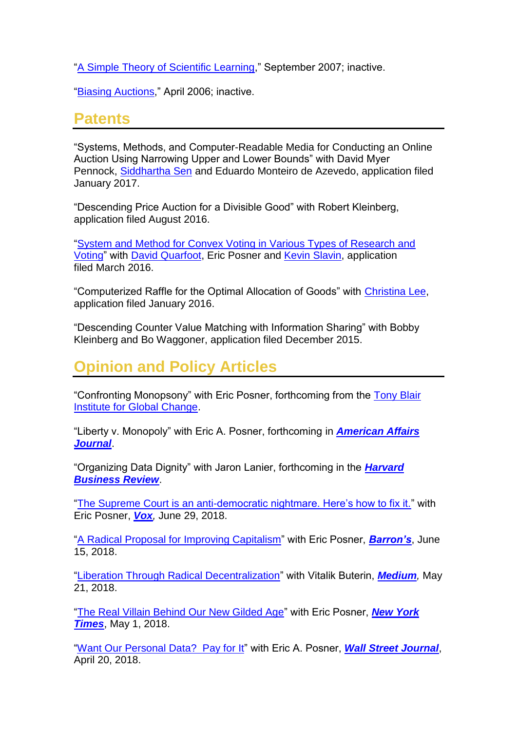["A Simple Theory of Scientific Learning,](http://ssrn.com/abstract=1324410)" September 2007; inactive.

["Biasing Auctions,](http://ssrn.com/abstract=1324365)" April 2006; inactive.

#### **Patents**

"Systems, Methods, and Computer-Readable Media for Conducting an Online Auction Using Narrowing Upper and Lower Bounds" with David Myer Pennock, [Siddhartha Sen](https://www.microsoft.com/en-us/research/people/sidsen/) and Eduardo Monteiro de Azevedo, application filed January 2017.

"Descending Price Auction for a Divisible Good" with Robert Kleinberg, application filed August 2016.

["System and Method for Convex Voting in Various Types of Research and](https://www.google.com/patents/US20160267740)  [Voting"](https://www.google.com/patents/US20160267740) with [David Quarfoot,](https://about.me/dquarfoot) Eric Posner and [Kevin Slavin,](https://www.media.mit.edu/people/slavin/overview/) application filed March 2016.

"Computerized Raffle for the Optimal Allocation of Goods" with [Christina Lee,](http://www.mit.edu/~celee/) application filed January 2016.

"Descending Counter Value Matching with Information Sharing" with Bobby Kleinberg and Bo Waggoner, application filed December 2015.

### **Opinion and Policy Articles**

"Confronting Monopsony" with Eric Posner, forthcoming from the [Tony Blair](https://institute.global/)  [Institute for Global Change.](https://institute.global/)

"Liberty v. Monopoly" with Eric A. Posner, forthcoming in *[American Affairs](https://americanaffairsjournal.org/)  [Journal](https://americanaffairsjournal.org/)*.

"Organizing Data Dignity" with Jaron Lanier, forthcoming in the *[Harvard](https://hbr.org/)  [Business Review](https://hbr.org/)*.

["The Supreme Court is an anti-democratic nightmare. Here's how to fix it."](https://www.vox.com/the-big-idea/2018/6/4/17426004/travel-ban-cake-gay-rights-social-issues-judicial-activism-kennedy-democracy-qv) with Eric Posner, *[Vox](http://vox.com/),* June 29, 2018.

["A Radical Proposal for Improving Capitalism"](https://www.barrons.com/articles/a-radical-proposal-for-improving-capitalism-1529082880) with Eric Posner, *[Barron's](https://www.barrons.com/)*, June 15, 2018.

["Liberation Through Radical Decentralization"](https://medium.com/@VitalikButerin/liberation-through-radical-decentralization-22fc4bedc2ac) with Vitalik Buterin, *[Medium](https://medium.com/),* May 21, 2018.

["The Real Villain Behind Our New Gilded Age"](https://www.nytimes.com/2018/05/01/opinion/monopoly-power-new-gilded-age.html) with Eric Posner, *[New York](http://www.nytimes.com/)  [Times](http://www.nytimes.com/)*, May 1, 2018.

["Want Our Personal Data?](https://www.wsj.com/articles/want-our-personal-data-pay-for-it-1524237577) Pay for It" with Eric A. Posner, *[Wall Street Journal](https://www.wsj.com/)*, April 20, 2018.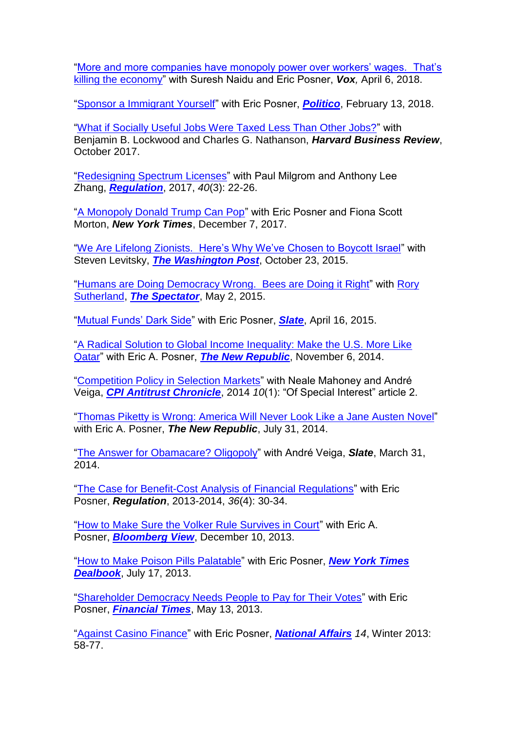["More and more companies have monopoly power over workers' wages.](https://www.vox.com/the-big-idea/2018/4/6/17204808/wages-employers-workers-monopsony-growth-stagnation-inequality) That's [killing the economy"](https://www.vox.com/the-big-idea/2018/4/6/17204808/wages-employers-workers-monopsony-growth-stagnation-inequality) with Suresh Naidu and Eric Posner, *Vox,* April 6, 2018.

["Sponsor a Immigrant Yourself"](https://www.politico.com/magazine/story/2018/02/13/immigration-visas-economics-216968) with Eric Posner, *[Politico](https://www.politico.com/)*, February 13, 2018.

["What if Socially Useful Jobs Were Taxed Less Than Other Jobs?"](https://hbr.org/2017/10/what-if-socially-useful-jobs-were-taxed-less-than-other-jobs) with Benjamin B. Lockwood and Charles G. Nathanson, *Harvard Business Review*, October 2017.

["Redesigning Spectrum Licenses"](https://object.cato.org/sites/cato.org/files/serials/files/regulation/2017/9/regulation-v40n3-3.pdf) with Paul Milgrom and Anthony Lee Zhang, *[Regulation](https://www.cato.org/regulation/winter-20172018)*, 2017, *40*(3): 22-26.

["A Monopoly Donald Trump Can Pop"](http://www.nytimes.com/2016/12/07/opinion/a-monopoly-donald-trump-can-pop.html) with Eric Posner and Fiona Scott Morton, *New York Times*, December 7, 2017.

["We Are Lifelong Zionists. Here's Why We've Chosen to Boycott Israel"](https://www.washingtonpost.com/opinions/a-zionist-case-for-boycotting-israel/2015/10/23/ac4dab80-735c-11e5-9cbb-790369643cf9_story.html) with Steven Levitsky, *[The Washington Post](https://www.washingtonpost.com/)*, October 23, 2015.

["Humans are Doing Democracy Wrong.](http://www.spectator.co.uk/features/9512322/humans-are-doing-democracy-wrong-bees-are-doing-it-right/) Bees are Doing it Right" with [Rory](http://www.ted.com/speakers/rory_sutherland)  [Sutherland,](http://www.ted.com/speakers/rory_sutherland) *[The Spectator](http://www.spectator.co.uk/)*, May 2, 2015.

["Mutual Funds' Dark Side"](http://www.slate.com/articles/news_and_politics/view_from_chicago/2015/04/mutual_funds_make_air_travel_more_expensive_institutional_investors_reduce.html) with Eric Posner, *[Slate](http://www.slate.com/)*, April 16, 2015.

["A Radical Solution to Global Income Inequality: Make the U.S. More Like](http://www.newrepublic.com/article/120179/how-reduce-global-income-inequality-open-immigration-policies)  [Qatar"](http://www.newrepublic.com/article/120179/how-reduce-global-income-inequality-open-immigration-policies) with Eric A. Posner, *[The New Republic](http://www.newrepublic.com/)*, November 6, 2014.

["Competition Policy in Selection Markets"](https://www.competitionpolicyinternational.com/competition-policy-in-selection-markets) with Neale Mahoney and André Veiga, *[CPI Antitrust Chronicle](https://www.competitionpolicyinternational.com/chronicle/)*, 2014 *10*(1): "Of Special Interest" article 2.

["Thomas Piketty is Wrong: America Will Never Look Like a Jane Austen Novel"](http://www.newrepublic.com/article/118925/pikettys-capital-theory-misunderstands-inherited-wealth-today) with Eric A. Posner, *The New Republic*, July 31, 2014.

["The Answer for Obamacare? Oligopoly"](http://www.slate.com/articles/news_and_politics/jurisprudence/2014/03/obamacare_open_enrollment_ends_to_save_the_health_care_exchanges_we_need.html) with André Veiga, *Slate*, March 31, 2014.

["The Case for Benefit-Cost Analysis of Financial Regulations"](http://object.cato.org/sites/cato.org/files/serials/files/regulation/2014/1/regulation-v36n4-2.pdf) with Eric Posner, *Regulation*, 2013-2014, *36*(4): 30-34.

["How to Make Sure the Volker Rule Survives in Court"](http://www.bloomberg.com/news/2013-12-10/how-to-make-sure-the-volcker-rule-survives-in-court.html) with Eric A. Posner, *[Bloomberg View](http://www.bloomberg.com/)*, December 10, 2013.

["How to Make Poison Pills Palatable"](http://dealbook.nytimes.com/2013/07/17/how-to-make-poison-pills-palatable/?_r=0) with Eric Posner, *[New York Times](http://dealbook.nytimes.com/)  [Dealbook](http://dealbook.nytimes.com/)*, July 17, 2013.

["Shareholder Democracy Needs People to Pay for Their Votes"](http://www.ft.com/intl/cms/s/0/f37a09c4-bbc9-11e2-82df-00144feab7de.html) with Eric Posner, *[Financial Times](http://www.ft.com/home/us)*, May 13, 2013.

["Against Casino Finance"](http://www.nationalaffairs.com/publications/detail/against-casino-finance) with Eric Posner, *[National Affairs](http://www.nationalaffairs.com/) 14*, Winter 2013: 58-77.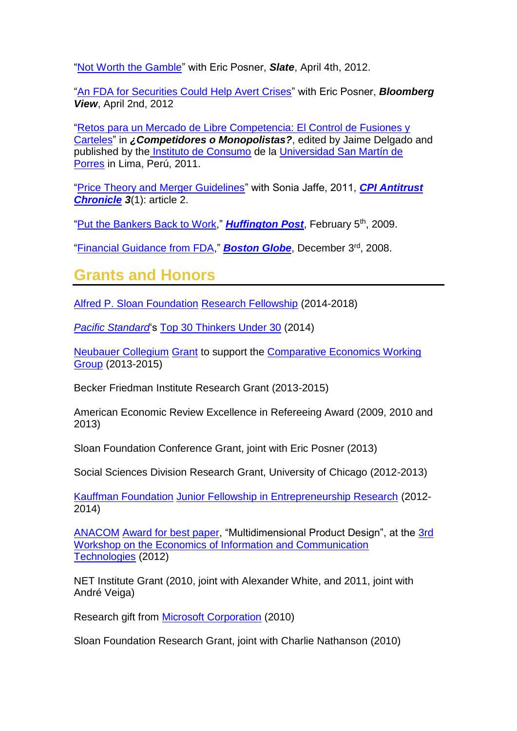["Not Worth the Gamble"](http://www.slate.com/articles/business/moneybox/2012/04/credit_default_swaps_collateralized_debt_obligations_why_it_should_be_illegal_to_speculate_using_financial_derivatives_.html) with Eric Posner, *Slate*, April 4th, 2012.

["An FDA for Securities Could Help Avert Crises"](http://www.bloomberg.com/news/2012-04-02/an-fda-for-derivatives-could-prevent-future-crises.html) with Eric Posner, *Bloomberg View*, April 2nd, 2012

["Retos para un Mercado de Libre Competencia: El Control de Fusiones y](mailto:weyl@uchicago.edu?subject=Request%20for%20copy%20of%20Per%C3%BA%20policy%20speech)  [Carteles"](mailto:weyl@uchicago.edu?subject=Request%20for%20copy%20of%20Per%C3%BA%20policy%20speech) in *¿Competidores o Monopolistas?*, edited by Jaime Delgado and published by the [Instituto de Consumo](http://peruconsume.blogspot.com/2011/07/curso-conferencia-retos-para-un-mercado.html) de la [Universidad San Martín de](http://www.usmp.edu.pe/)  [Porres](http://www.usmp.edu.pe/) in Lima, Perú, 2011.

["Price Theory and Merger Guidelines"](https://www.competitionpolicyinternational.com/price-theory-and-merger-guidelines/) with Sonia Jaffe, 2011, *[CPI Antitrust](https://www.competitionpolicyinternational.com/chronicle/)  [Chronicle](https://www.competitionpolicyinternational.com/chronicle/) 3*(1): article 2.

["Put the Bankers Back to Work,](http://www.huffingtonpost.com/e-glen-weyl/put-the-bankers-back-to-w_b_164420.html)" *[Huffington Post](http://www.huffingtonpost.com/)*, February 5th, 2009.

["Financial Guidance from FDA,](http://www.boston.com/bostonglobe/editorial_opinion/oped/articles/2008/12/03/financial_guidance_from_fda/)" *[Boston Globe](http://www.boston.com/bostonglobe/)*, December 3rd, 2008.

### **Grants and Honors**

Alfred P. [Sloan Foundation](http://www.sloan.org/) [Research Fellowship](http://www.sloan.org/fileadmin/media/files/press_releases/2014_SRF_Press_Release_vF.pdf) (2014-2018)

*[Pacific Standard](http://www.psmag.com/)*'s [Top 30 Thinkers Under 30](http://www.psmag.com/navigation/books-and-culture/the-30-top-thinkers-under-30-introduction-76201/) (2014)

[Neubauer Collegium](http://neubauercollegium.uchicago.edu/) [Grant](http://news.uchicago.edu/article/2013/03/04/neubauer-collegium-selects-inaugural-research-projects) to support the [Comparative Economics Working](http://neubauercollegium.uchicago.edu/faculty/comparative_economics/)  [Group](http://neubauercollegium.uchicago.edu/faculty/comparative_economics/) (2013-2015)

Becker Friedman Institute Research Grant (2013-2015)

American Economic Review Excellence in Refereeing Award (2009, 2010 and 2013)

Sloan Foundation Conference Grant, joint with Eric Posner (2013)

Social Sciences Division Research Grant, University of Chicago (2012-2013)

[Kauffman Foundation](http://www.kauffman.org/) [Junior Fellowship in Entrepreneurship Research](http://www.kauffman.org/research-and-policy/kjff/fellows.aspx) (2012- 2014)

[ANACOM](http://www.anacom.pt/) [Award for best paper,](http://cefup.fep.up.pt/index.php?id_page=172) "Multidimensional Product Design", at the [3rd](http://cefup.fep.up.pt/index.php?id_page=163)  [Workshop on the Economics of Information and Communication](http://cefup.fep.up.pt/index.php?id_page=163)  [Technologies](http://cefup.fep.up.pt/index.php?id_page=163) (2012)

NET Institute Grant (2010, joint with Alexander White, and 2011, joint with André Veiga)

Research gift from [Microsoft Corporation](http://www.microsoft.com/en/us/default.aspx) (2010)

Sloan Foundation Research Grant, joint with Charlie Nathanson (2010)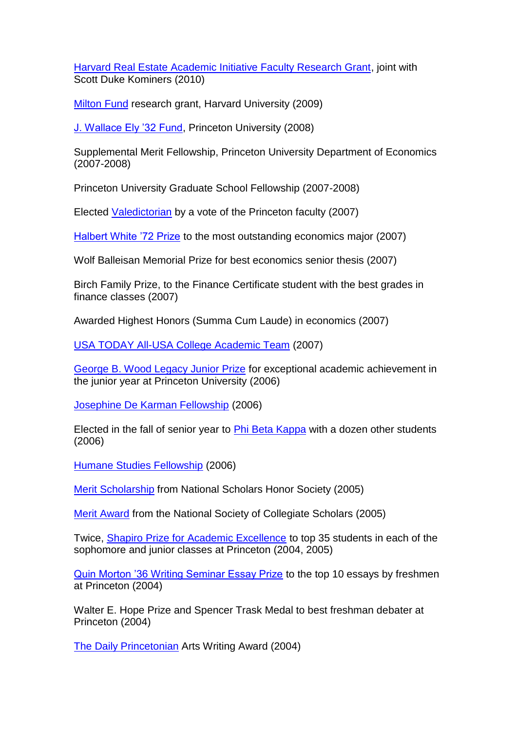[Harvard Real Estate Academic Initiative Faculty Research Grant,](http://www.exed.hbs.edu/programs/re/reai.html) joint with Scott Duke Kominers (2010)

[Milton](http://www.hms.harvard.edu/spa/funding/internal/milton.shtml) Fund research grant, Harvard University (2009)

[J. Wallace Ely '32 Fund,](http://home.uchicago.edu/weyl/ely.pdf) Princeton University (2008)

Supplemental Merit Fellowship, Princeton University Department of Economics (2007-2008)

Princeton University Graduate School Fellowship (2007-2008)

Elected [Valedictorian](http://www.princeton.edu/main/news/archive/S18/00/36A09/?section=featured) by a vote of the Princeton faculty (2007)

[Halbert White '72 Prize](http://home.uchicago.edu/weyl/Class_of_2007-1.pdf) to the most outstanding economics major (2007)

Wolf Balleisan Memorial Prize for best economics senior thesis (2007)

Birch Family Prize, to the Finance Certificate student with the best grades in finance classes (2007)

Awarded Highest Honors (Summa Cum Laude) in economics (2007)

[USA TODAY All-USA College Academic Team](http://www.usatoday.com/news/education/2007-02-15-college-allstars-second_x.htm) (2007)

[George B. Wood Legacy Junior Prize](http://www.princeton.edu/main/news/archive/S15/79/09M54/index.xml?section=topstories) for exceptional academic achievement in the junior year at Princeton University (2006)

[Josephine De Karman Fellowship](http://www.dekarman.org/) (2006)

Elected in the fall of senior year to [Phi Beta Kappa](http://www.pbk.org/home/index.aspx) with a dozen other students (2006)

[Humane Studies Fellowship](http://www.theihs.org/subcategory.php/2.html) (2006)

[Merit Scholarship](http://www.collegehonors.org/scholars.htm) from National Scholars Honor Society (2005)

[Merit Award](http://www.nscs.org/files/u1/orig-media/system/pdf/AnnualReport2006-07.pdf) from the National Society of Collegiate Scholars (2005)

Twice, [Shapiro Prize for Academic Excellence](http://www.dailyprincetonian.com/archives/2001/04/10/news/2853.shtml) to top 35 students in each of the sophomore and junior classes at Princeton (2004, 2005)

[Quin Morton '36 Writing Seminar Essay Prize](http://web.princeton.edu/sites/writing/Writing_Seminar/WSContest.htm) to the top 10 essays by freshmen at Princeton (2004)

Walter E. Hope Prize and Spencer Trask Medal to best freshman debater at Princeton (2004)

[The Daily Princetonian](http://www.dailyprincetonian.com/) Arts Writing Award (2004)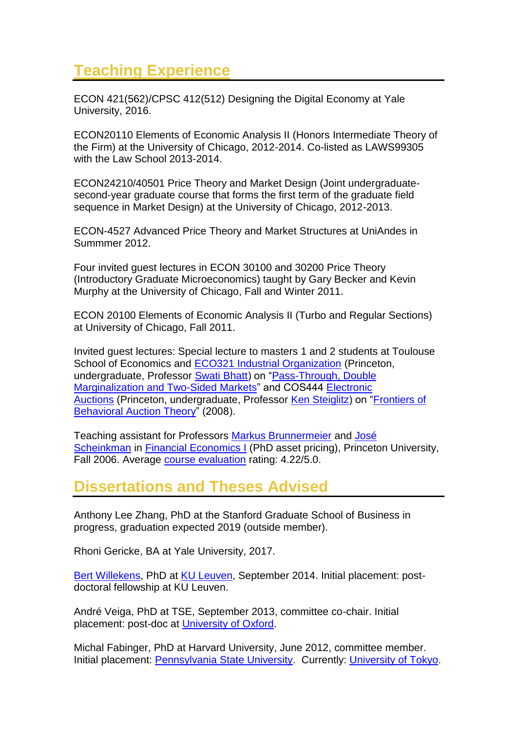## **[Teaching Experience](http://glenweyl.com/teaching)**

ECON 421(562)/CPSC 412(512) Designing the Digital Economy at Yale University, 2016.

ECON20110 Elements of Economic Analysis II (Honors Intermediate Theory of the Firm) at the University of Chicago, 2012-2014. Co-listed as LAWS99305 with the Law School 2013-2014.

ECON24210/40501 Price Theory and Market Design (Joint undergraduatesecond-year graduate course that forms the first term of the graduate field sequence in Market Design) at the University of Chicago, 2012-2013.

ECON-4527 Advanced Price Theory and Market Structures at UniAndes in Summmer 2012.

Four invited guest lectures in ECON 30100 and 30200 Price Theory (Introductory Graduate Microeconomics) taught by Gary Becker and Kevin Murphy at the University of Chicago, Fall and Winter 2011.

ECON 20100 Elements of Economic Analysis II (Turbo and Regular Sections) at University of Chicago, Fall 2011.

Invited guest lectures: Special lecture to masters 1 and 2 students at Toulouse School of Economics and [ECO321 Industrial Organization](http://blackboard.princeton.edu/webapps/portal/frameset.jsp?tab=courses&url=%2Fbin%2Fcommon%2Fcourse.pl%3Fcourse_id%3D_35701_1) (Princeton, undergraduate, Professor [Swati Bhatt\)](http://wws.princeton.edu/people/display_person.xml?netid=sbhatt&display=Visiting) on ["Pass-Through, Double](http://home.uchicago.edu/weyl/Pass-Through_Undergrad_Slides.pdf)  [Marginalization and Two-Sided Markets"](http://home.uchicago.edu/weyl/Pass-Through_Undergrad_Slides.pdf) and COS444 [Electronic](http://www.cs.princeton.edu/courses/archive/spr08/cos444/index.html)  [Auctions](http://www.cs.princeton.edu/courses/archive/spr08/cos444/index.html) (Princeton, undergraduate, Professor [Ken Steiglitz\)](http://www.cs.princeton.edu/~ken/) on ["Frontiers of](http://home.uchicago.edu/weyl/Auction_Slides.pdf)  [Behavioral Auction Theory"](http://home.uchicago.edu/weyl/Auction_Slides.pdf) (2008).

Teaching assistant for Professors [Markus Brunnermeier](http://www.princeton.edu/~markus) and [José](http://www.princeton.edu/~joses)  [Scheinkman](http://www.princeton.edu/~joses) in [Financial Economics I](http://www.princeton.edu/pr/catalog/gsa/05/140.htm) (PhD asset pricing), Princeton University, Fall 2006. Average [course evaluation](http://home.uchicago.edu/weyl/eval.pdf) rating: 4.22/5.0.

### **Dissertations and Theses Advised**

Anthony Lee Zhang, PhD at the Stanford Graduate School of Business in progress, graduation expected 2019 (outside member).

Rhoni Gericke, BA at Yale University, 2017.

[Bert Willekens,](http://www.econ.kuleuven.be/feb/medewerker/Userpage.aspx?PID=1657) PhD at [KU Leuven,](http://www.kuleuven.be/english) September 2014. Initial placement: postdoctoral fellowship at KU Leuven.

André Veiga, PhD at TSE, September 2013, committee co-chair. Initial placement: post-doc at [University of Oxford.](http://www.economics.ox.ac.uk/)

Michal Fabinger, PhD at Harvard University, June 2012, committee member. Initial placement: [Pennsylvania State University.](http://econ.la.psu.edu/) Currently: [University of Tokyo.](http://www.e.u-tokyo.ac.jp/index-e.html)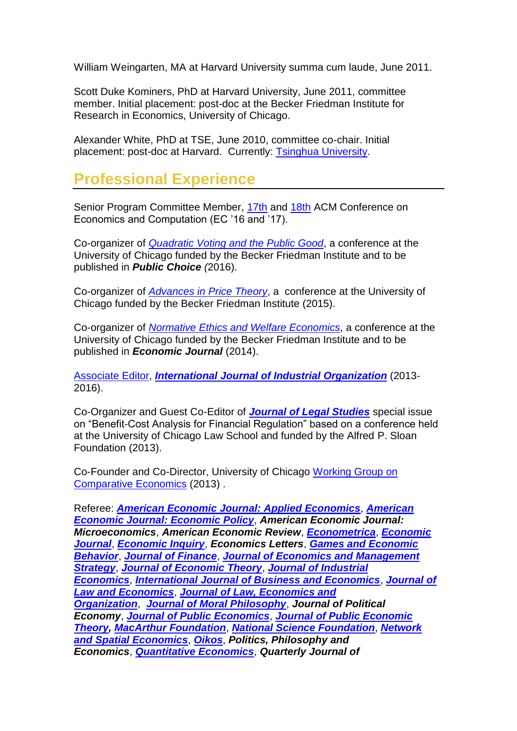William Weingarten, MA at Harvard University summa cum laude, June 2011.

Scott Duke Kominers, PhD at Harvard University, June 2011, committee member. Initial placement: post-doc at the Becker Friedman Institute for Research in Economics, University of Chicago.

Alexander White, PhD at TSE, June 2010, committee co-chair. Initial placement: post-doc at Harvard. Currently: [Tsinghua University.](http://www.sem.tsinghua.edu.cn/portalweb/appmanager/portal/semEN)

### **Professional Experience**

Senior Program Committee Member, [17th](http://www.sigecom.org/ec16/) and [18th](http://www.sigecom.org/ec17/) ACM Conference on Economics and Computation (EC '16 and '17).

Co-organizer of *[Quadratic Voting and the Public Good](https://bfi.uchicago.edu/events/quadratic-voting-and-public-good)*, a conference at the University of Chicago funded by the Becker Friedman Institute and to be published in *Public Choice (*2016).

Co-organizer of *[Advances in Price Theory](https://bfi.uchicago.edu/events/advances-price-theory)*, a conference at the University of Chicago funded by the Becker Friedman Institute (2015).

Co-organizer of *[Normative Ethics and Welfare Economics](http://bfi.uchicago.edu/events/normative-ethics-and-welfare-economics)*, a conference at the University of Chicago funded by the Becker Friedman Institute and to be published in *Economic Journal* (2014).

[Associate Editor,](http://www.journals.elsevier.com/international-journal-of-industrial-organization/editorial-board/) *[International Journal of Industrial Organization](http://www.elsevier.com/wps/find/journaldescription.cws_home/505551/description#description)* (2013- 2016).

Co-Organizer and Guest Co-Editor of *[Journal of Legal Studies](http://www.press.uchicago.edu/ucp/journals/journal/jls.html)* special issue on "Benefit-Cost Analysis for Financial Regulation" based on a conference held at the University of Chicago Law School and funded by the Alfred P. Sloan Foundation (2013).

Co-Founder and Co-Director, University of Chicago [Working Group on](https://neubauercollegium.uchicago.edu/page/seed-projects-0)  [Comparative Economics](https://neubauercollegium.uchicago.edu/page/seed-projects-0) (2013) .

Referee: *[American Economic Journal: Applied Economics](http://www.aeaweb.org/aej-applied/)*, *[American](https://www.aeaweb.org/aej-policy/)  [Economic Journal: Economic Policy](https://www.aeaweb.org/aej-policy/)*, *American Economic Journal: Microeconomics*, *American Economic Review*, *[Econometrica](http://www.econometricsociety.org/)*, *[Economic](http://www.blackwellpublishing.com/journal.asp?ref=0013-0133)  [Journal](http://www.blackwellpublishing.com/journal.asp?ref=0013-0133)*, *[Economic Inquiry](http://www.blackwellpublishing.com/journal.asp?ref=0095-2583)*, *Economics Letters*, *[Games and Economic](http://www.elsevier.com/wps/find/journaldescription.cws_home/622836/description#description)  [Behavior](http://www.elsevier.com/wps/find/journaldescription.cws_home/622836/description#description)*, *[Journal of Finance](http://www.afajof.org/)*, *[Journal of Economics and Management](http://www.kellogg.northwestern.edu/research/journals/jems/jems.htm)  [Strategy](http://www.kellogg.northwestern.edu/research/journals/jems/jems.htm)*, *[Journal of Economic Theory](http://jet.arts.cornell.edu/Main.html)*, *[Journal of Industrial](http://www.blackwellpublishing.com/journal.asp?ref=0022-1821&site=1)  [Economics](http://www.blackwellpublishing.com/journal.asp?ref=0022-1821&site=1)*, *[International Journal of Business and Economics](http://www.ijbe.org/)*, *[Journal of](http://www.press.uchicago.edu/ucp/journals/journal/jle.html)  [Law and Economics](http://www.press.uchicago.edu/ucp/journals/journal/jle.html)*, *[Journal of Law, Economics and](http://jleo.oxfordjournals.org/)  [Organization](http://jleo.oxfordjournals.org/)*, *[Journal of Moral Philosophy](http://www.brill.nl/jmp)*, *Journal of Political Economy*, *[Journal of Public Economics](http://www.journals.elsevier.com/journal-of-public-economics/)*, *[Journal of Public Economic](http://www.blackwellpublishing.com/journal.asp?ref=1097-3923)  [Theory,](http://www.blackwellpublishing.com/journal.asp?ref=1097-3923) [MacArthur Foundation](http://www.macfound.org/site/c.lkLXJ8MQKrH/b.3599935/k.1648/John_D__Catherine_T_MacArthur_Foundation.htm)*, *[National Science Foundation](http://www.nsf.gov/)*, *[Network](http://springerlink.metapress.com/content/106607/)  [and Spatial Economics](http://springerlink.metapress.com/content/106607/)*, *[Oikos](http://www.wiley.com/bw/journal.asp?ref=0030-1299&site=1)*, *Politics, Philosophy and Economics*, *[Quantitative Economics](http://www.qeconomics.org/)*, *Quarterly Journal of*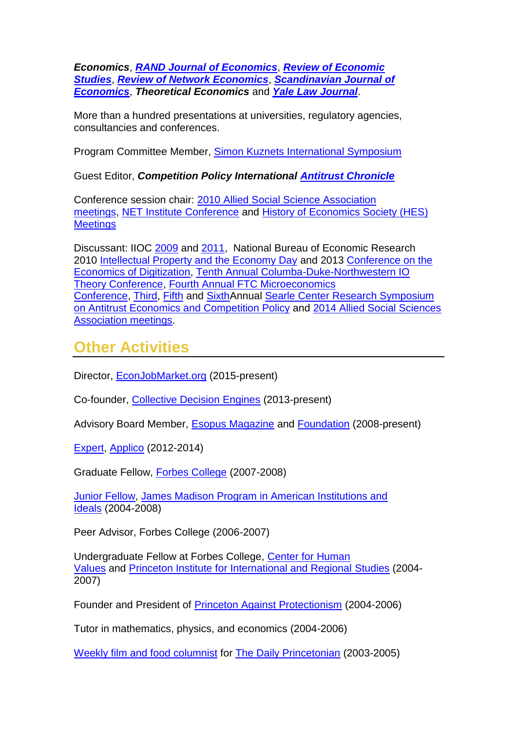*Economics*, *[RAND Journal of Economics](http://www.rje.org/)*, *[Review of Economic](http://www.restud.org.uk/)  [Studies](http://www.restud.org.uk/)*, *[Review of Network Economics](http://www.rnejournal.com/)*, *[Scandinavian Journal of](http://www.wiley.com/bw/journal.asp?ref=0347-0520)  [Economics](http://www.wiley.com/bw/journal.asp?ref=0347-0520)*, *Theoretical Economics* and *[Yale Law Journal](http://www.yalelawjournal.org/)*.

More than a hundred presentations at universities, regulatory agencies, consultancies and conferences.

Program Committee Member, [Simon Kuznets International Symposium](http://www.skisd.org/en/simposium/info/7/27)

Guest Editor, *Competition Policy International [Antitrust Chronicle](https://www.competitionpolicyinternational.com/chronicle/)*

Conference session chair: [2010 Allied Social Science Association](http://www.aeaweb.org/aea/conference/program/2010_AEA_meeting_papers.php)  [meetings,](http://www.aeaweb.org/aea/conference/program/2010_AEA_meeting_papers.php) [NET Institute Conference](http://www.netinst.org/2010_conference.htm) and [History of Economics Society \(HES\)](http://hes2010.syr.edu/sessions.php)  **[Meetings](http://hes2010.syr.edu/sessions.php)** 

Discussant: IIOC [2009](http://editorialexpress.com/conference/IIOC2009/program/IIOC2009.html) and [2011,](http://editorialexpress.com/conference/IIOC2011/program/IIOC2011.html) National Bureau of Economic Research 2010 [Intellectual Property and the Economy Day](http://www.nber.org/~confer/2010/SI2010/pripeprg.html) and 2013 [Conference on the](http://www.nber.org/reporter/2013number3/conferences.html)  [Economics of Digitization,](http://www.nber.org/reporter/2013number3/conferences.html) [Tenth Annual Columba-Duke-Northwestern IO](http://econ.columbia.edu/tenth-annual-columbia-duke-northwestern-io-theory-conference)  [Theory Conference,](http://econ.columbia.edu/tenth-annual-columbia-duke-northwestern-io-theory-conference) [Fourth Annual FTC Microeconomics](http://www.ftc.gov/be/workshops/microeconomics/2011/index.shtm) [Conference,](http://www.ftc.gov/be/workshops/microeconomics/2011/index.shtm) [Third,](http://www.law.northwestern.edu/searlecenter/conference/antitrust/Antitrust_Agenda_2010.pdf) [Fifth](http://www.law.northwestern.edu/searlecenter/conference/antitrust/Antitrust_Agenda_2012.pdf) and [SixthA](http://www.law.northwestern.edu/research-faculty/searlecenter/events/antitrust/)nnual [Searle Center Research Symposium](http://www.law.northwestern.edu/searlecenter/events-activities/event.cfm?ID=35)  [on Antitrust Economics and Competition Policy](http://www.law.northwestern.edu/searlecenter/events-activities/event.cfm?ID=35) and [2014 Allied Social Sciences](https://www.aeaweb.org/aea/2014conference/program/preliminary.php)  [Association meetings.](https://www.aeaweb.org/aea/2014conference/program/preliminary.php)

### **Other Activities**

Director, [EconJobMarket.org](https://econjobmarket.org/organization.php) (2015-present)

Co-founder, [Collective Decision Engines](http://home.uchicago.edu/weyl/CDE%20Precis.pdf) (2013-present)

Advisory Board Member, [Esopus Magazine](http://www.esopusmag.com/) and [Foundation](http://www.esopusmag.com/foundation.php?Id=3106) (2008-present)

[Expert,](http://www.applicoinc.com/board-of-directors/) [Applico](http://www.applicoinc.com/) (2012-2014)

Graduate Fellow, [Forbes College](http://web.princeton.edu/sites/forbes/) (2007-2008)

[Junior Fellow,](http://web.princeton.edu/sites/jmadison/people/junior.html) [James Madison Program in American Institutions and](http://web.princeton.edu/sites/jmadison/index.html)  [Ideals](http://web.princeton.edu/sites/jmadison/index.html) (2004-2008)

Peer Advisor, Forbes College (2006-2007)

Undergraduate Fellow at Forbes College, [Center for Human](http://www.princeton.edu/~uchv/)  [Values](http://www.princeton.edu/~uchv/) and [Princeton Institute for International and Regional](http://www.princeton.edu/~piirs/) Studies (2004- 2007)

Founder and President of [Princeton Against Protectionism](http://www.princeton.edu/~justice/p_PAP.htm) (2004-2006)

Tutor in mathematics, physics, and economics (2004-2006)

[Weekly film and food columnist](http://www.dailyprincetonian.com/accounts/profile/735/) for [The Daily Princetonian](http://www.dailyprincetonian.org/) (2003-2005)